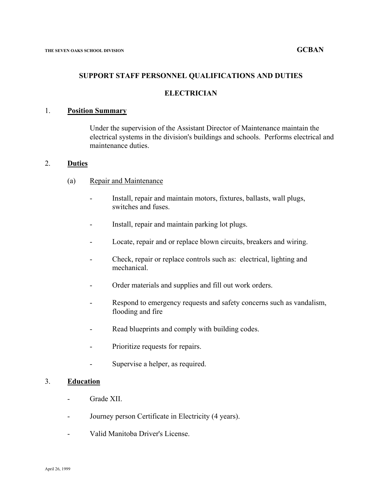#### **SUPPORT STAFF PERSONNEL QUALIFICATIONS AND DUTIES**

#### **ELECTRICIAN**

### 1. **Position Summary**

Under the supervision of the Assistant Director of Maintenance maintain the electrical systems in the division's buildings and schools. Performs electrical and maintenance duties.

### 2. **Duties**

- (a) Repair and Maintenance
	- Install, repair and maintain motors, fixtures, ballasts, wall plugs, switches and fuses.
	- Install, repair and maintain parking lot plugs.
	- Locate, repair and or replace blown circuits, breakers and wiring.
	- Check, repair or replace controls such as: electrical, lighting and mechanical.
	- Order materials and supplies and fill out work orders.
	- Respond to emergency requests and safety concerns such as vandalism, flooding and fire
	- Read blueprints and comply with building codes.
	- Prioritize requests for repairs.
	- Supervise a helper, as required.

## 3. **Education**

- Grade XII.
- Journey person Certificate in Electricity (4 years).
- Valid Manitoba Driver's License.